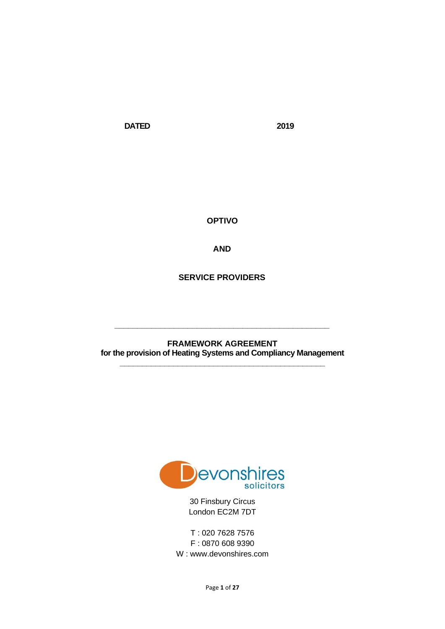**DATED 2019**

**OPTIVO** 

**AND**

**SERVICE PROVIDERS**

**FRAMEWORK AGREEMENT for the provision of Heating Systems and Compliancy Management \_\_\_\_\_\_\_\_\_\_\_\_\_\_\_\_\_\_\_\_\_\_\_\_\_\_\_\_\_\_\_\_\_\_\_\_\_\_\_\_\_\_\_\_\_\_**

**\_\_\_\_\_\_\_\_\_\_\_\_\_\_\_\_\_\_\_\_\_\_\_\_\_\_\_\_\_\_\_\_\_\_\_\_\_\_\_\_\_\_\_\_\_\_\_**



30 Finsbury Circus London EC2M 7DT

T : 020 7628 7576 F : 0870 608 9390 W : www.devonshires.com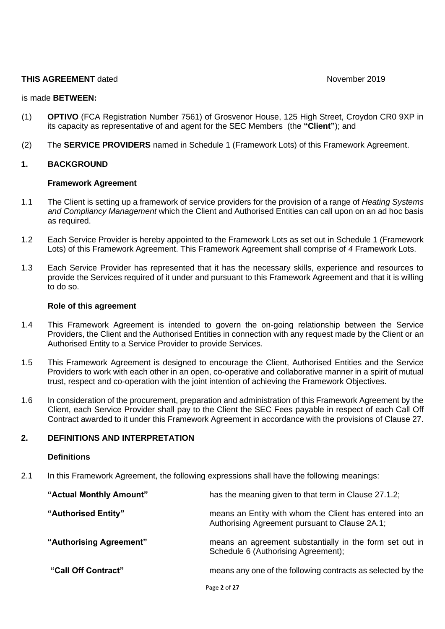#### **THIS AGREEMENT** dated **November 2019**

#### is made **BETWEEN:**

- (1) **OPTIVO** (FCA Registration Number 7561) of Grosvenor House, 125 High Street, Croydon CR0 9XP in its capacity as representative of and agent for the SEC Members (the **"Client"**); and
- (2) The **SERVICE PROVIDERS** named in Schedule 1 (Framework Lots) of this Framework Agreement.

#### **1. BACKGROUND**

#### **Framework Agreement**

- 1.1 The Client is setting up a framework of service providers for the provision of a range of *Heating Systems and Compliancy Management* which the Client and Authorised Entities can call upon on an ad hoc basis as required.
- 1.2 Each Service Provider is hereby appointed to the Framework Lots as set out in Schedule 1 (Framework Lots) of this Framework Agreement. This Framework Agreement shall comprise of *4* Framework Lots.
- 1.3 Each Service Provider has represented that it has the necessary skills, experience and resources to provide the Services required of it under and pursuant to this Framework Agreement and that it is willing to do so.

#### **Role of this agreement**

- 1.4 This Framework Agreement is intended to govern the on-going relationship between the Service Providers, the Client and the Authorised Entities in connection with any request made by the Client or an Authorised Entity to a Service Provider to provide Services.
- 1.5 This Framework Agreement is designed to encourage the Client, Authorised Entities and the Service Providers to work with each other in an open, co-operative and collaborative manner in a spirit of mutual trust, respect and co-operation with the joint intention of achieving the Framework Objectives.
- 1.6 In consideration of the procurement, preparation and administration of this Framework Agreement by the Client, each Service Provider shall pay to the Client the SEC Fees payable in respect of each Call Off Contract awarded to it under this Framework Agreement in accordance with the provisions of Clause 27.

## **2. DEFINITIONS AND INTERPRETATION**

#### **Definitions**

2.1 In this Framework Agreement, the following expressions shall have the following meanings:

| "Actual Monthly Amount" | has the meaning given to that term in Clause 27.1.2;                                                       |
|-------------------------|------------------------------------------------------------------------------------------------------------|
| "Authorised Entity"     | means an Entity with whom the Client has entered into an<br>Authorising Agreement pursuant to Clause 2A.1; |
| "Authorising Agreement" | means an agreement substantially in the form set out in<br>Schedule 6 (Authorising Agreement);             |
| "Call Off Contract"     | means any one of the following contracts as selected by the                                                |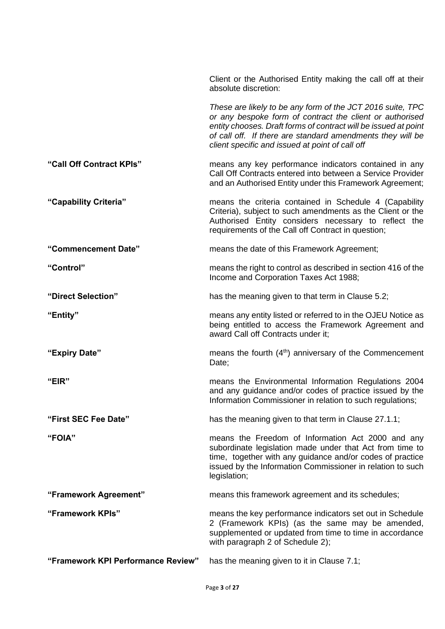|                                    | Client or the Authorised Entity making the call off at their<br>absolute discretion:                                                                                                                                                                                                                       |
|------------------------------------|------------------------------------------------------------------------------------------------------------------------------------------------------------------------------------------------------------------------------------------------------------------------------------------------------------|
|                                    | These are likely to be any form of the JCT 2016 suite, TPC<br>or any bespoke form of contract the client or authorised<br>entity chooses. Draft forms of contract will be issued at point<br>of call off. If there are standard amendments they will be<br>client specific and issued at point of call off |
| "Call Off Contract KPIs"           | means any key performance indicators contained in any<br>Call Off Contracts entered into between a Service Provider<br>and an Authorised Entity under this Framework Agreement;                                                                                                                            |
| "Capability Criteria"              | means the criteria contained in Schedule 4 (Capability<br>Criteria), subject to such amendments as the Client or the<br>Authorised Entity considers necessary to reflect the<br>requirements of the Call off Contract in question;                                                                         |
| "Commencement Date"                | means the date of this Framework Agreement;                                                                                                                                                                                                                                                                |
| "Control"                          | means the right to control as described in section 416 of the<br>Income and Corporation Taxes Act 1988;                                                                                                                                                                                                    |
| "Direct Selection"                 | has the meaning given to that term in Clause 5.2;                                                                                                                                                                                                                                                          |
| "Entity"                           | means any entity listed or referred to in the OJEU Notice as<br>being entitled to access the Framework Agreement and<br>award Call off Contracts under it;                                                                                                                                                 |
| "Expiry Date"                      | means the fourth $(4th)$ anniversary of the Commencement<br>Date;                                                                                                                                                                                                                                          |
| "EIR"                              | means the Environmental Information Regulations 2004<br>and any guidance and/or codes of practice issued by the<br>Information Commissioner in relation to such regulations;                                                                                                                               |
| "First SEC Fee Date"               | has the meaning given to that term in Clause 27.1.1;                                                                                                                                                                                                                                                       |
| "FOIA"                             | means the Freedom of Information Act 2000 and any<br>subordinate legislation made under that Act from time to<br>time, together with any guidance and/or codes of practice<br>issued by the Information Commissioner in relation to such<br>legislation;                                                   |
| "Framework Agreement"              | means this framework agreement and its schedules;                                                                                                                                                                                                                                                          |
| "Framework KPIs"                   | means the key performance indicators set out in Schedule<br>2 (Framework KPIs) (as the same may be amended,<br>supplemented or updated from time to time in accordance<br>with paragraph 2 of Schedule 2);                                                                                                 |
| "Framework KPI Performance Review" | has the meaning given to it in Clause 7.1;                                                                                                                                                                                                                                                                 |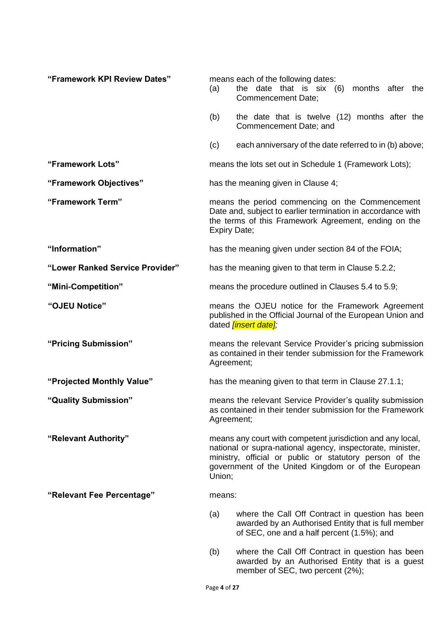| "Framework KPI Review Dates"    | (a)                                                                                                                                                                                                                                                  | means each of the following dates:<br>the date that is six (6)<br>months after the<br>Commencement Date;                                              |
|---------------------------------|------------------------------------------------------------------------------------------------------------------------------------------------------------------------------------------------------------------------------------------------------|-------------------------------------------------------------------------------------------------------------------------------------------------------|
|                                 | (b)                                                                                                                                                                                                                                                  | the date that is twelve (12) months after the<br>Commencement Date; and                                                                               |
|                                 | (c)                                                                                                                                                                                                                                                  | each anniversary of the date referred to in (b) above;                                                                                                |
| "Framework Lots"                |                                                                                                                                                                                                                                                      | means the lots set out in Schedule 1 (Framework Lots);                                                                                                |
| "Framework Objectives"          |                                                                                                                                                                                                                                                      | has the meaning given in Clause 4;                                                                                                                    |
| "Framework Term"                | means the period commencing on the Commencement<br>Date and, subject to earlier termination in accordance with<br>the terms of this Framework Agreement, ending on the<br>Expiry Date;                                                               |                                                                                                                                                       |
| "Information"                   |                                                                                                                                                                                                                                                      | has the meaning given under section 84 of the FOIA;                                                                                                   |
| "Lower Ranked Service Provider" |                                                                                                                                                                                                                                                      | has the meaning given to that term in Clause 5.2.2;                                                                                                   |
| "Mini-Competition"              |                                                                                                                                                                                                                                                      | means the procedure outlined in Clauses 5.4 to 5.9;                                                                                                   |
| "OJEU Notice"                   | means the OJEU notice for the Framework Agreement<br>published in the Official Journal of the European Union and<br>dated <i>linsert date];</i>                                                                                                      |                                                                                                                                                       |
| "Pricing Submission"            | means the relevant Service Provider's pricing submission<br>as contained in their tender submission for the Framework<br>Agreement;                                                                                                                  |                                                                                                                                                       |
| "Projected Monthly Value"       | has the meaning given to that term in Clause 27.1.1;                                                                                                                                                                                                 |                                                                                                                                                       |
| "Quality Submission"            | means the relevant Service Provider's quality submission<br>as contained in their tender submission for the Framework<br>Agreement;                                                                                                                  |                                                                                                                                                       |
| "Relevant Authority"            | means any court with competent jurisdiction and any local,<br>national or supra-national agency, inspectorate, minister,<br>ministry, official or public or statutory person of the<br>government of the United Kingdom or of the European<br>Union; |                                                                                                                                                       |
| "Relevant Fee Percentage"       | means:                                                                                                                                                                                                                                               |                                                                                                                                                       |
|                                 | (a)                                                                                                                                                                                                                                                  | where the Call Off Contract in question has been<br>awarded by an Authorised Entity that is full member<br>of SEC, one and a half percent (1.5%); and |
|                                 | (b)                                                                                                                                                                                                                                                  | where the Call Off Contract in question has been<br>awarded by an Authorised Entity that is a guest<br>member of SEC, two percent (2%);               |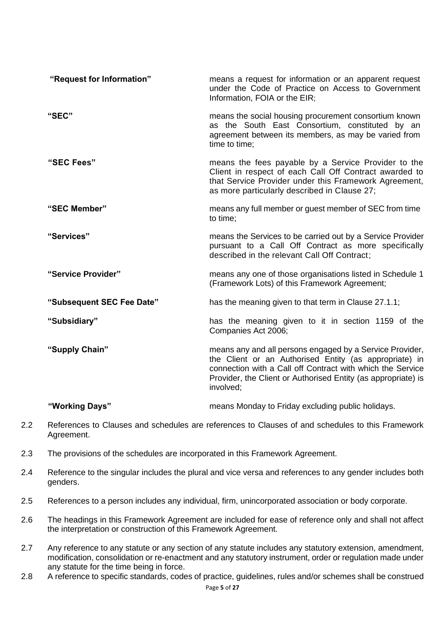| "Request for Information" | means a request for information or an apparent request<br>under the Code of Practice on Access to Government<br>Information, FOIA or the EIR;                                                                                                                  |
|---------------------------|----------------------------------------------------------------------------------------------------------------------------------------------------------------------------------------------------------------------------------------------------------------|
| "SEC"                     | means the social housing procurement consortium known<br>as the South East Consortium, constituted by an<br>agreement between its members, as may be varied from<br>time to time;                                                                              |
| "SEC Fees"                | means the fees payable by a Service Provider to the<br>Client in respect of each Call Off Contract awarded to<br>that Service Provider under this Framework Agreement,<br>as more particularly described in Clause 27;                                         |
| "SEC Member"              | means any full member or guest member of SEC from time<br>to time;                                                                                                                                                                                             |
| "Services"                | means the Services to be carried out by a Service Provider<br>pursuant to a Call Off Contract as more specifically<br>described in the relevant Call Off Contract;                                                                                             |
| "Service Provider"        | means any one of those organisations listed in Schedule 1<br>(Framework Lots) of this Framework Agreement;                                                                                                                                                     |
| "Subsequent SEC Fee Date" | has the meaning given to that term in Clause 27.1.1;                                                                                                                                                                                                           |
| "Subsidiary"              | has the meaning given to it in section 1159 of the<br>Companies Act 2006;                                                                                                                                                                                      |
| "Supply Chain"            | means any and all persons engaged by a Service Provider,<br>the Client or an Authorised Entity (as appropriate) in<br>connection with a Call off Contract with which the Service<br>Provider, the Client or Authorised Entity (as appropriate) is<br>involved; |
| "Working Days"            | means Monday to Friday excluding public holidays.                                                                                                                                                                                                              |

- 2.2 References to Clauses and schedules are references to Clauses of and schedules to this Framework Agreement.
- 2.3 The provisions of the schedules are incorporated in this Framework Agreement.
- 2.4 Reference to the singular includes the plural and vice versa and references to any gender includes both genders.
- 2.5 References to a person includes any individual, firm, unincorporated association or body corporate.
- 2.6 The headings in this Framework Agreement are included for ease of reference only and shall not affect the interpretation or construction of this Framework Agreement.
- 2.7 Any reference to any statute or any section of any statute includes any statutory extension, amendment, modification, consolidation or re-enactment and any statutory instrument, order or regulation made under any statute for the time being in force.
- 2.8 A reference to specific standards, codes of practice, guidelines, rules and/or schemes shall be construed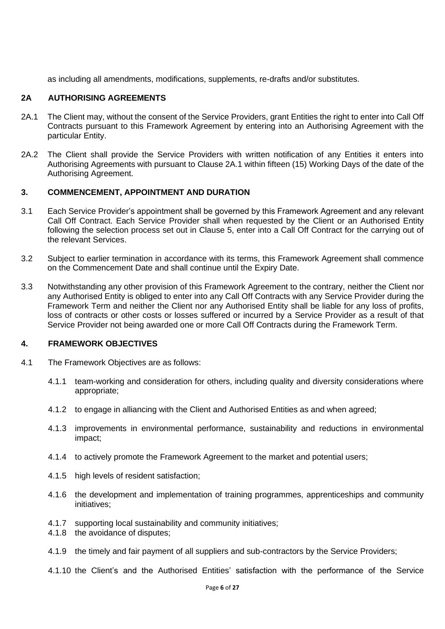as including all amendments, modifications, supplements, re-drafts and/or substitutes.

## **2A AUTHORISING AGREEMENTS**

- 2A.1 The Client may, without the consent of the Service Providers, grant Entities the right to enter into Call Off Contracts pursuant to this Framework Agreement by entering into an Authorising Agreement with the particular Entity.
- 2A.2 The Client shall provide the Service Providers with written notification of any Entities it enters into Authorising Agreements with pursuant to Clause 2A.1 within fifteen (15) Working Days of the date of the Authorising Agreement.

## **3. COMMENCEMENT, APPOINTMENT AND DURATION**

- 3.1 Each Service Provider's appointment shall be governed by this Framework Agreement and any relevant Call Off Contract. Each Service Provider shall when requested by the Client or an Authorised Entity following the selection process set out in Clause 5, enter into a Call Off Contract for the carrying out of the relevant Services.
- 3.2 Subject to earlier termination in accordance with its terms, this Framework Agreement shall commence on the Commencement Date and shall continue until the Expiry Date.
- 3.3 Notwithstanding any other provision of this Framework Agreement to the contrary, neither the Client nor any Authorised Entity is obliged to enter into any Call Off Contracts with any Service Provider during the Framework Term and neither the Client nor any Authorised Entity shall be liable for any loss of profits, loss of contracts or other costs or losses suffered or incurred by a Service Provider as a result of that Service Provider not being awarded one or more Call Off Contracts during the Framework Term.

#### **4. FRAMEWORK OBJECTIVES**

- 4.1 The Framework Objectives are as follows:
	- 4.1.1 team-working and consideration for others, including quality and diversity considerations where appropriate;
	- 4.1.2 to engage in alliancing with the Client and Authorised Entities as and when agreed;
	- 4.1.3 improvements in environmental performance, sustainability and reductions in environmental impact;
	- 4.1.4 to actively promote the Framework Agreement to the market and potential users;
	- 4.1.5 high levels of resident satisfaction;
	- 4.1.6 the development and implementation of training programmes, apprenticeships and community initiatives;
	- 4.1.7 supporting local sustainability and community initiatives;
	- 4.1.8 the avoidance of disputes;
	- 4.1.9 the timely and fair payment of all suppliers and sub-contractors by the Service Providers;
	- 4.1.10 the Client's and the Authorised Entities' satisfaction with the performance of the Service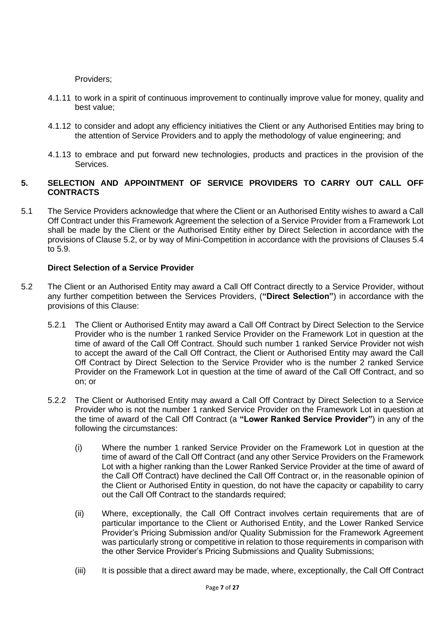Providers;

- 4.1.11 to work in a spirit of continuous improvement to continually improve value for money, quality and best value;
- 4.1.12 to consider and adopt any efficiency initiatives the Client or any Authorised Entities may bring to the attention of Service Providers and to apply the methodology of value engineering; and
- 4.1.13 to embrace and put forward new technologies, products and practices in the provision of the Services.

## **5. SELECTION AND APPOINTMENT OF SERVICE PROVIDERS TO CARRY OUT CALL OFF CONTRACTS**

5.1 The Service Providers acknowledge that where the Client or an Authorised Entity wishes to award a Call Off Contract under this Framework Agreement the selection of a Service Provider from a Framework Lot shall be made by the Client or the Authorised Entity either by Direct Selection in accordance with the provisions of Clause 5.2, or by way of Mini-Competition in accordance with the provisions of Clauses 5.4 to 5.9.

## **Direct Selection of a Service Provider**

- 5.2 The Client or an Authorised Entity may award a Call Off Contract directly to a Service Provider, without any further competition between the Services Providers, (**"Direct Selection"**) in accordance with the provisions of this Clause:
	- 5.2.1 The Client or Authorised Entity may award a Call Off Contract by Direct Selection to the Service Provider who is the number 1 ranked Service Provider on the Framework Lot in question at the time of award of the Call Off Contract. Should such number 1 ranked Service Provider not wish to accept the award of the Call Off Contract, the Client or Authorised Entity may award the Call Off Contract by Direct Selection to the Service Provider who is the number 2 ranked Service Provider on the Framework Lot in question at the time of award of the Call Off Contract, and so on; or
	- 5.2.2 The Client or Authorised Entity may award a Call Off Contract by Direct Selection to a Service Provider who is not the number 1 ranked Service Provider on the Framework Lot in question at the time of award of the Call Off Contract (a **"Lower Ranked Service Provider"**) in any of the following the circumstances:
		- (i) Where the number 1 ranked Service Provider on the Framework Lot in question at the time of award of the Call Off Contract (and any other Service Providers on the Framework Lot with a higher ranking than the Lower Ranked Service Provider at the time of award of the Call Off Contract) have declined the Call Off Contract or, in the reasonable opinion of the Client or Authorised Entity in question, do not have the capacity or capability to carry out the Call Off Contract to the standards required;
		- (ii) Where, exceptionally, the Call Off Contract involves certain requirements that are of particular importance to the Client or Authorised Entity, and the Lower Ranked Service Provider's Pricing Submission and/or Quality Submission for the Framework Agreement was particularly strong or competitive in relation to those requirements in comparison with the other Service Provider's Pricing Submissions and Quality Submissions;
		- (iii) It is possible that a direct award may be made, where, exceptionally, the Call Off Contract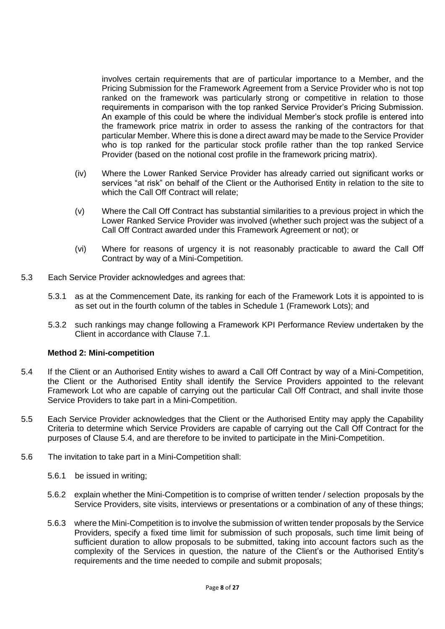involves certain requirements that are of particular importance to a Member, and the Pricing Submission for the Framework Agreement from a Service Provider who is not top ranked on the framework was particularly strong or competitive in relation to those requirements in comparison with the top ranked Service Provider's Pricing Submission. An example of this could be where the individual Member's stock profile is entered into the framework price matrix in order to assess the ranking of the contractors for that particular Member. Where this is done a direct award may be made to the Service Provider who is top ranked for the particular stock profile rather than the top ranked Service Provider (based on the notional cost profile in the framework pricing matrix).

- (iv) Where the Lower Ranked Service Provider has already carried out significant works or services "at risk" on behalf of the Client or the Authorised Entity in relation to the site to which the Call Off Contract will relate;
- (v) Where the Call Off Contract has substantial similarities to a previous project in which the Lower Ranked Service Provider was involved (whether such project was the subject of a Call Off Contract awarded under this Framework Agreement or not); or
- (vi) Where for reasons of urgency it is not reasonably practicable to award the Call Off Contract by way of a Mini-Competition.
- 5.3 Each Service Provider acknowledges and agrees that:
	- 5.3.1 as at the Commencement Date, its ranking for each of the Framework Lots it is appointed to is as set out in the fourth column of the tables in Schedule 1 (Framework Lots); and
	- 5.3.2 such rankings may change following a Framework KPI Performance Review undertaken by the Client in accordance with Clause 7.1.

#### **Method 2: Mini-competition**

- 5.4 If the Client or an Authorised Entity wishes to award a Call Off Contract by way of a Mini-Competition, the Client or the Authorised Entity shall identify the Service Providers appointed to the relevant Framework Lot who are capable of carrying out the particular Call Off Contract, and shall invite those Service Providers to take part in a Mini-Competition.
- 5.5 Each Service Provider acknowledges that the Client or the Authorised Entity may apply the Capability Criteria to determine which Service Providers are capable of carrying out the Call Off Contract for the purposes of Clause 5.4, and are therefore to be invited to participate in the Mini-Competition.
- 5.6 The invitation to take part in a Mini-Competition shall:
	- 5.6.1 be issued in writing;
	- 5.6.2 explain whether the Mini-Competition is to comprise of written tender / selection proposals by the Service Providers, site visits, interviews or presentations or a combination of any of these things;
	- 5.6.3 where the Mini-Competition is to involve the submission of written tender proposals by the Service Providers, specify a fixed time limit for submission of such proposals, such time limit being of sufficient duration to allow proposals to be submitted, taking into account factors such as the complexity of the Services in question, the nature of the Client's or the Authorised Entity's requirements and the time needed to compile and submit proposals;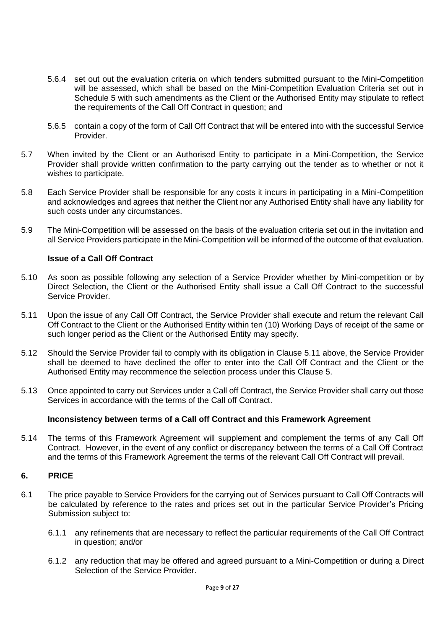- 5.6.4 set out out the evaluation criteria on which tenders submitted pursuant to the Mini-Competition will be assessed, which shall be based on the Mini-Competition Evaluation Criteria set out in Schedule 5 with such amendments as the Client or the Authorised Entity may stipulate to reflect the requirements of the Call Off Contract in question; and
- 5.6.5 contain a copy of the form of Call Off Contract that will be entered into with the successful Service Provider.
- 5.7 When invited by the Client or an Authorised Entity to participate in a Mini-Competition, the Service Provider shall provide written confirmation to the party carrying out the tender as to whether or not it wishes to participate.
- 5.8 Each Service Provider shall be responsible for any costs it incurs in participating in a Mini-Competition and acknowledges and agrees that neither the Client nor any Authorised Entity shall have any liability for such costs under any circumstances.
- 5.9 The Mini-Competition will be assessed on the basis of the evaluation criteria set out in the invitation and all Service Providers participate in the Mini-Competition will be informed of the outcome of that evaluation.

### **Issue of a Call Off Contract**

- 5.10 As soon as possible following any selection of a Service Provider whether by Mini-competition or by Direct Selection, the Client or the Authorised Entity shall issue a Call Off Contract to the successful Service Provider.
- 5.11 Upon the issue of any Call Off Contract, the Service Provider shall execute and return the relevant Call Off Contract to the Client or the Authorised Entity within ten (10) Working Days of receipt of the same or such longer period as the Client or the Authorised Entity may specify.
- 5.12 Should the Service Provider fail to comply with its obligation in Clause 5.11 above, the Service Provider shall be deemed to have declined the offer to enter into the Call Off Contract and the Client or the Authorised Entity may recommence the selection process under this Clause 5.
- 5.13 Once appointed to carry out Services under a Call off Contract, the Service Provider shall carry out those Services in accordance with the terms of the Call off Contract.

#### **Inconsistency between terms of a Call off Contract and this Framework Agreement**

5.14 The terms of this Framework Agreement will supplement and complement the terms of any Call Off Contract. However, in the event of any conflict or discrepancy between the terms of a Call Off Contract and the terms of this Framework Agreement the terms of the relevant Call Off Contract will prevail.

#### **6. PRICE**

- 6.1 The price payable to Service Providers for the carrying out of Services pursuant to Call Off Contracts will be calculated by reference to the rates and prices set out in the particular Service Provider's Pricing Submission subject to:
	- 6.1.1 any refinements that are necessary to reflect the particular requirements of the Call Off Contract in question; and/or
	- 6.1.2 any reduction that may be offered and agreed pursuant to a Mini-Competition or during a Direct Selection of the Service Provider.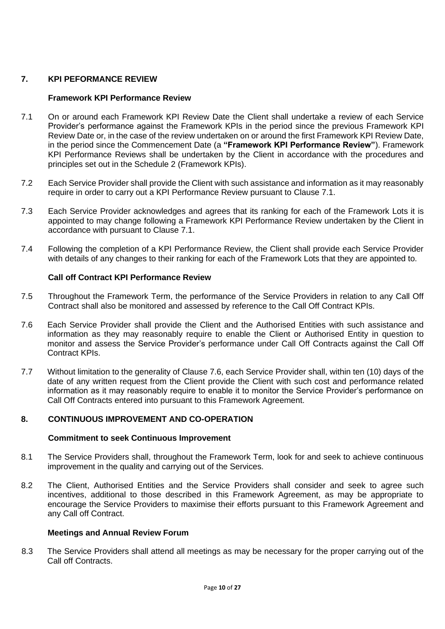## **7. KPI PEFORMANCE REVIEW**

#### **Framework KPI Performance Review**

- 7.1 On or around each Framework KPI Review Date the Client shall undertake a review of each Service Provider's performance against the Framework KPIs in the period since the previous Framework KPI Review Date or, in the case of the review undertaken on or around the first Framework KPI Review Date, in the period since the Commencement Date (a **"Framework KPI Performance Review"**). Framework KPI Performance Reviews shall be undertaken by the Client in accordance with the procedures and principles set out in the Schedule 2 (Framework KPIs).
- 7.2 Each Service Provider shall provide the Client with such assistance and information as it may reasonably require in order to carry out a KPI Performance Review pursuant to Clause 7.1.
- 7.3 Each Service Provider acknowledges and agrees that its ranking for each of the Framework Lots it is appointed to may change following a Framework KPI Performance Review undertaken by the Client in accordance with pursuant to Clause 7.1.
- 7.4 Following the completion of a KPI Performance Review, the Client shall provide each Service Provider with details of any changes to their ranking for each of the Framework Lots that they are appointed to.

## **Call off Contract KPI Performance Review**

- 7.5 Throughout the Framework Term, the performance of the Service Providers in relation to any Call Off Contract shall also be monitored and assessed by reference to the Call Off Contract KPIs.
- 7.6 Each Service Provider shall provide the Client and the Authorised Entities with such assistance and information as they may reasonably require to enable the Client or Authorised Entity in question to monitor and assess the Service Provider's performance under Call Off Contracts against the Call Off Contract KPIs.
- 7.7 Without limitation to the generality of Clause 7.6, each Service Provider shall, within ten (10) days of the date of any written request from the Client provide the Client with such cost and performance related information as it may reasonably require to enable it to monitor the Service Provider's performance on Call Off Contracts entered into pursuant to this Framework Agreement.

## **8. CONTINUOUS IMPROVEMENT AND CO-OPERATION**

#### **Commitment to seek Continuous Improvement**

- 8.1 The Service Providers shall, throughout the Framework Term, look for and seek to achieve continuous improvement in the quality and carrying out of the Services.
- 8.2 The Client, Authorised Entities and the Service Providers shall consider and seek to agree such incentives, additional to those described in this Framework Agreement, as may be appropriate to encourage the Service Providers to maximise their efforts pursuant to this Framework Agreement and any Call off Contract.

#### **Meetings and Annual Review Forum**

8.3 The Service Providers shall attend all meetings as may be necessary for the proper carrying out of the Call off Contracts.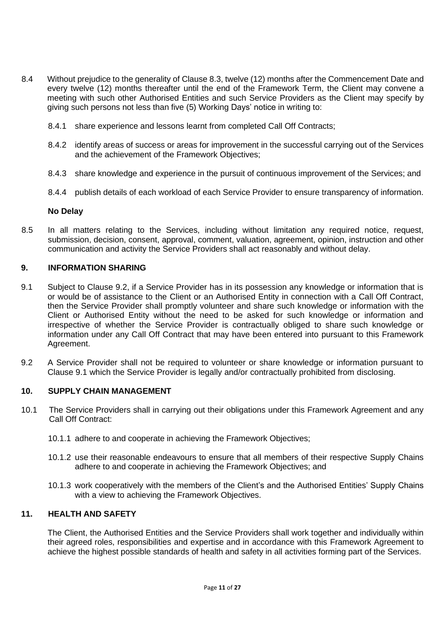- 8.4 Without prejudice to the generality of Clause 8.3, twelve (12) months after the Commencement Date and every twelve (12) months thereafter until the end of the Framework Term, the Client may convene a meeting with such other Authorised Entities and such Service Providers as the Client may specify by giving such persons not less than five (5) Working Days' notice in writing to:
	- 8.4.1 share experience and lessons learnt from completed Call Off Contracts;
	- 8.4.2 identify areas of success or areas for improvement in the successful carrying out of the Services and the achievement of the Framework Objectives;
	- 8.4.3 share knowledge and experience in the pursuit of continuous improvement of the Services; and
	- 8.4.4 publish details of each workload of each Service Provider to ensure transparency of information.

#### **No Delay**

8.5 In all matters relating to the Services, including without limitation any required notice, request, submission, decision, consent, approval, comment, valuation, agreement, opinion, instruction and other communication and activity the Service Providers shall act reasonably and without delay.

## **9. INFORMATION SHARING**

- 9.1 Subject to Clause 9.2, if a Service Provider has in its possession any knowledge or information that is or would be of assistance to the Client or an Authorised Entity in connection with a Call Off Contract, then the Service Provider shall promptly volunteer and share such knowledge or information with the Client or Authorised Entity without the need to be asked for such knowledge or information and irrespective of whether the Service Provider is contractually obliged to share such knowledge or information under any Call Off Contract that may have been entered into pursuant to this Framework Agreement.
- 9.2 A Service Provider shall not be required to volunteer or share knowledge or information pursuant to Clause 9.1 which the Service Provider is legally and/or contractually prohibited from disclosing.

#### **10. SUPPLY CHAIN MANAGEMENT**

- 10.1 The Service Providers shall in carrying out their obligations under this Framework Agreement and any Call Off Contract:
	- 10.1.1 adhere to and cooperate in achieving the Framework Objectives;
	- 10.1.2 use their reasonable endeavours to ensure that all members of their respective Supply Chains adhere to and cooperate in achieving the Framework Objectives; and
	- 10.1.3 work cooperatively with the members of the Client's and the Authorised Entities' Supply Chains with a view to achieving the Framework Objectives.

#### **11. HEALTH AND SAFETY**

The Client, the Authorised Entities and the Service Providers shall work together and individually within their agreed roles, responsibilities and expertise and in accordance with this Framework Agreement to achieve the highest possible standards of health and safety in all activities forming part of the Services.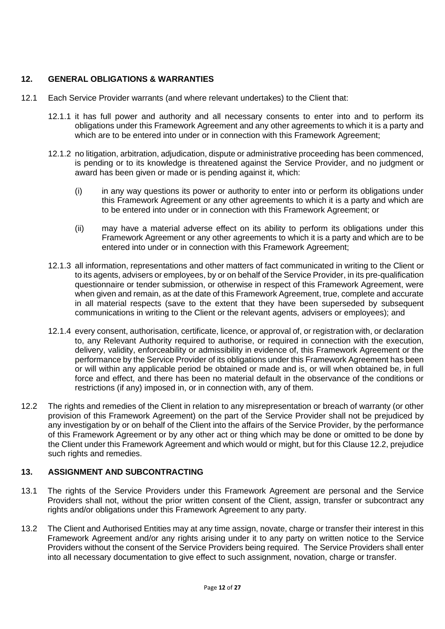## **12. GENERAL OBLIGATIONS & WARRANTIES**

- 12.1 Each Service Provider warrants (and where relevant undertakes) to the Client that:
	- 12.1.1 it has full power and authority and all necessary consents to enter into and to perform its obligations under this Framework Agreement and any other agreements to which it is a party and which are to be entered into under or in connection with this Framework Agreement;
	- 12.1.2 no litigation, arbitration, adjudication, dispute or administrative proceeding has been commenced, is pending or to its knowledge is threatened against the Service Provider, and no judgment or award has been given or made or is pending against it, which:
		- (i) in any way questions its power or authority to enter into or perform its obligations under this Framework Agreement or any other agreements to which it is a party and which are to be entered into under or in connection with this Framework Agreement; or
		- (ii) may have a material adverse effect on its ability to perform its obligations under this Framework Agreement or any other agreements to which it is a party and which are to be entered into under or in connection with this Framework Agreement;
	- 12.1.3 all information, representations and other matters of fact communicated in writing to the Client or to its agents, advisers or employees, by or on behalf of the Service Provider, in its pre-qualification questionnaire or tender submission, or otherwise in respect of this Framework Agreement, were when given and remain, as at the date of this Framework Agreement, true, complete and accurate in all material respects (save to the extent that they have been superseded by subsequent communications in writing to the Client or the relevant agents, advisers or employees); and
	- 12.1.4 every consent, authorisation, certificate, licence, or approval of, or registration with, or declaration to, any Relevant Authority required to authorise, or required in connection with the execution, delivery, validity, enforceability or admissibility in evidence of, this Framework Agreement or the performance by the Service Provider of its obligations under this Framework Agreement has been or will within any applicable period be obtained or made and is, or will when obtained be, in full force and effect, and there has been no material default in the observance of the conditions or restrictions (if any) imposed in, or in connection with, any of them.
- 12.2 The rights and remedies of the Client in relation to any misrepresentation or breach of warranty (or other provision of this Framework Agreement) on the part of the Service Provider shall not be prejudiced by any investigation by or on behalf of the Client into the affairs of the Service Provider, by the performance of this Framework Agreement or by any other act or thing which may be done or omitted to be done by the Client under this Framework Agreement and which would or might, but for this Clause 12.2, prejudice such rights and remedies.

## **13. ASSIGNMENT AND SUBCONTRACTING**

- 13.1 The rights of the Service Providers under this Framework Agreement are personal and the Service Providers shall not, without the prior written consent of the Client, assign, transfer or subcontract any rights and/or obligations under this Framework Agreement to any party.
- 13.2 The Client and Authorised Entities may at any time assign, novate, charge or transfer their interest in this Framework Agreement and/or any rights arising under it to any party on written notice to the Service Providers without the consent of the Service Providers being required. The Service Providers shall enter into all necessary documentation to give effect to such assignment, novation, charge or transfer.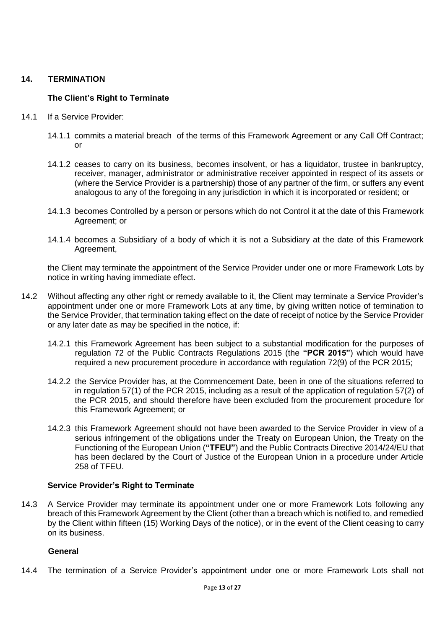## **14. TERMINATION**

## **The Client's Right to Terminate**

- 14.1 If a Service Provider:
	- 14.1.1 commits a material breach of the terms of this Framework Agreement or any Call Off Contract; or
	- 14.1.2 ceases to carry on its business, becomes insolvent, or has a liquidator, trustee in bankruptcy, receiver, manager, administrator or administrative receiver appointed in respect of its assets or (where the Service Provider is a partnership) those of any partner of the firm, or suffers any event analogous to any of the foregoing in any jurisdiction in which it is incorporated or resident; or
	- 14.1.3 becomes Controlled by a person or persons which do not Control it at the date of this Framework Agreement; or
	- 14.1.4 becomes a Subsidiary of a body of which it is not a Subsidiary at the date of this Framework Agreement,

the Client may terminate the appointment of the Service Provider under one or more Framework Lots by notice in writing having immediate effect.

- 14.2 Without affecting any other right or remedy available to it, the Client may terminate a Service Provider's appointment under one or more Framework Lots at any time, by giving written notice of termination to the Service Provider, that termination taking effect on the date of receipt of notice by the Service Provider or any later date as may be specified in the notice, if:
	- 14.2.1 this Framework Agreement has been subject to a substantial modification for the purposes of regulation 72 of the Public Contracts Regulations 2015 (the **"PCR 2015"**) which would have required a new procurement procedure in accordance with regulation 72(9) of the PCR 2015;
	- 14.2.2 the Service Provider has, at the Commencement Date, been in one of the situations referred to in regulation 57(1) of the PCR 2015, including as a result of the application of regulation 57(2) of the PCR 2015, and should therefore have been excluded from the procurement procedure for this Framework Agreement; or
	- 14.2.3 this Framework Agreement should not have been awarded to the Service Provider in view of a serious infringement of the obligations under the Treaty on European Union, the Treaty on the Functioning of the European Union (**"TFEU"**) and the Public Contracts Directive 2014/24/EU that has been declared by the Court of Justice of the European Union in a procedure under Article 258 of TFEU.

## **Service Provider's Right to Terminate**

14.3 A Service Provider may terminate its appointment under one or more Framework Lots following any breach of this Framework Agreement by the Client (other than a breach which is notified to, and remedied by the Client within fifteen (15) Working Days of the notice), or in the event of the Client ceasing to carry on its business.

## **General**

14.4 The termination of a Service Provider's appointment under one or more Framework Lots shall not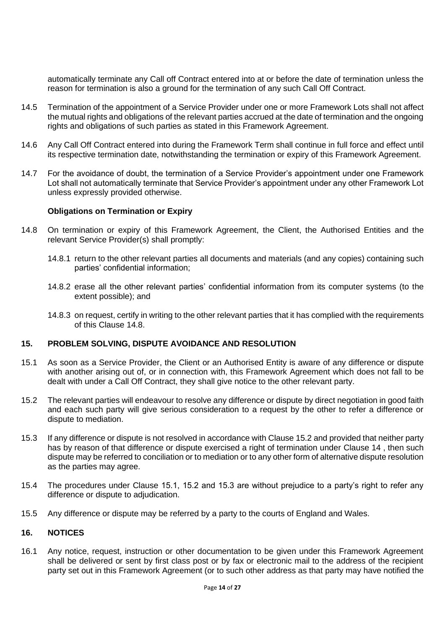automatically terminate any Call off Contract entered into at or before the date of termination unless the reason for termination is also a ground for the termination of any such Call Off Contract.

- 14.5 Termination of the appointment of a Service Provider under one or more Framework Lots shall not affect the mutual rights and obligations of the relevant parties accrued at the date of termination and the ongoing rights and obligations of such parties as stated in this Framework Agreement.
- 14.6 Any Call Off Contract entered into during the Framework Term shall continue in full force and effect until its respective termination date, notwithstanding the termination or expiry of this Framework Agreement.
- 14.7 For the avoidance of doubt, the termination of a Service Provider's appointment under one Framework Lot shall not automatically terminate that Service Provider's appointment under any other Framework Lot unless expressly provided otherwise.

#### **Obligations on Termination or Expiry**

- 14.8 On termination or expiry of this Framework Agreement, the Client, the Authorised Entities and the relevant Service Provider(s) shall promptly:
	- 14.8.1 return to the other relevant parties all documents and materials (and any copies) containing such parties' confidential information;
	- 14.8.2 erase all the other relevant parties' confidential information from its computer systems (to the extent possible); and
	- 14.8.3 on request, certify in writing to the other relevant parties that it has complied with the requirements of this Clause 14.8.

## **15. PROBLEM SOLVING, DISPUTE AVOIDANCE AND RESOLUTION**

- 15.1 As soon as a Service Provider, the Client or an Authorised Entity is aware of any difference or dispute with another arising out of, or in connection with, this Framework Agreement which does not fall to be dealt with under a Call Off Contract, they shall give notice to the other relevant party.
- 15.2 The relevant parties will endeavour to resolve any difference or dispute by direct negotiation in good faith and each such party will give serious consideration to a request by the other to refer a difference or dispute to mediation.
- 15.3 If any difference or dispute is not resolved in accordance with Clause 15.2 and provided that neither party has by reason of that difference or dispute exercised a right of termination under Clause 14 , then such dispute may be referred to conciliation or to mediation or to any other form of alternative dispute resolution as the parties may agree.
- 15.4 The procedures under Clause 15.1, 15.2 and 15.3 are without prejudice to a party's right to refer any difference or dispute to adjudication.
- 15.5 Any difference or dispute may be referred by a party to the courts of England and Wales.

#### **16. NOTICES**

16.1 Any notice, request, instruction or other documentation to be given under this Framework Agreement shall be delivered or sent by first class post or by fax or electronic mail to the address of the recipient party set out in this Framework Agreement (or to such other address as that party may have notified the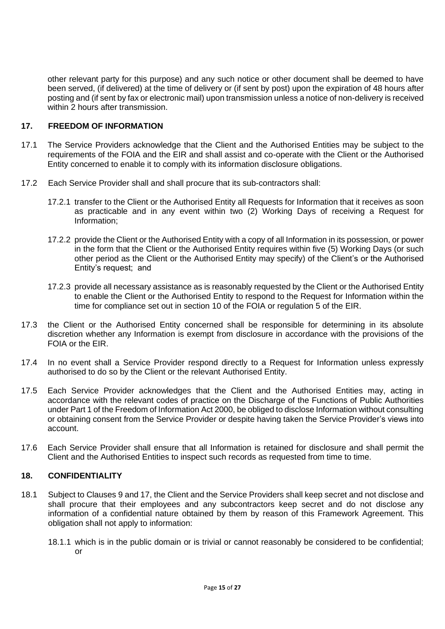other relevant party for this purpose) and any such notice or other document shall be deemed to have been served, (if delivered) at the time of delivery or (if sent by post) upon the expiration of 48 hours after posting and (if sent by fax or electronic mail) upon transmission unless a notice of non-delivery is received within 2 hours after transmission.

## **17. FREEDOM OF INFORMATION**

- 17.1 The Service Providers acknowledge that the Client and the Authorised Entities may be subject to the requirements of the FOIA and the EIR and shall assist and co-operate with the Client or the Authorised Entity concerned to enable it to comply with its information disclosure obligations.
- 17.2 Each Service Provider shall and shall procure that its sub-contractors shall:
	- 17.2.1 transfer to the Client or the Authorised Entity all Requests for Information that it receives as soon as practicable and in any event within two (2) Working Days of receiving a Request for Information;
	- 17.2.2 provide the Client or the Authorised Entity with a copy of all Information in its possession, or power in the form that the Client or the Authorised Entity requires within five (5) Working Days (or such other period as the Client or the Authorised Entity may specify) of the Client's or the Authorised Entity's request; and
	- 17.2.3 provide all necessary assistance as is reasonably requested by the Client or the Authorised Entity to enable the Client or the Authorised Entity to respond to the Request for Information within the time for compliance set out in section 10 of the FOIA or regulation 5 of the EIR.
- 17.3 the Client or the Authorised Entity concerned shall be responsible for determining in its absolute discretion whether any Information is exempt from disclosure in accordance with the provisions of the FOIA or the EIR.
- 17.4 In no event shall a Service Provider respond directly to a Request for Information unless expressly authorised to do so by the Client or the relevant Authorised Entity.
- 17.5 Each Service Provider acknowledges that the Client and the Authorised Entities may, acting in accordance with the relevant codes of practice on the Discharge of the Functions of Public Authorities under Part 1 of the Freedom of Information Act 2000, be obliged to disclose Information without consulting or obtaining consent from the Service Provider or despite having taken the Service Provider's views into account.
- 17.6 Each Service Provider shall ensure that all Information is retained for disclosure and shall permit the Client and the Authorised Entities to inspect such records as requested from time to time.

## **18. CONFIDENTIALITY**

- 18.1 Subject to Clauses 9 and 17, the Client and the Service Providers shall keep secret and not disclose and shall procure that their employees and any subcontractors keep secret and do not disclose any information of a confidential nature obtained by them by reason of this Framework Agreement. This obligation shall not apply to information:
	- 18.1.1 which is in the public domain or is trivial or cannot reasonably be considered to be confidential; or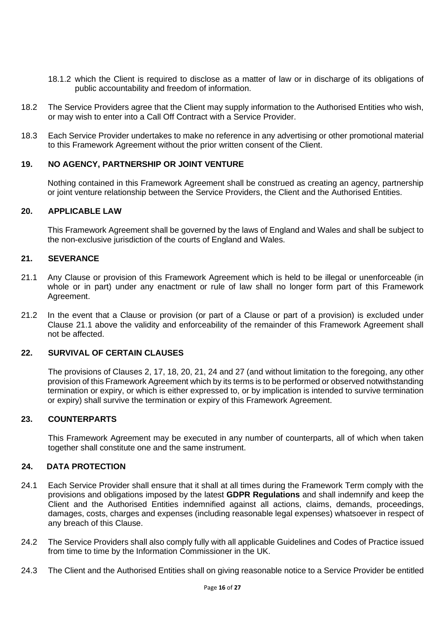- 18.1.2 which the Client is required to disclose as a matter of law or in discharge of its obligations of public accountability and freedom of information.
- 18.2 The Service Providers agree that the Client may supply information to the Authorised Entities who wish, or may wish to enter into a Call Off Contract with a Service Provider.
- 18.3 Each Service Provider undertakes to make no reference in any advertising or other promotional material to this Framework Agreement without the prior written consent of the Client.

## **19. NO AGENCY, PARTNERSHIP OR JOINT VENTURE**

Nothing contained in this Framework Agreement shall be construed as creating an agency, partnership or joint venture relationship between the Service Providers, the Client and the Authorised Entities.

#### **20. APPLICABLE LAW**

This Framework Agreement shall be governed by the laws of England and Wales and shall be subject to the non-exclusive jurisdiction of the courts of England and Wales.

## **21. SEVERANCE**

- 21.1 Any Clause or provision of this Framework Agreement which is held to be illegal or unenforceable (in whole or in part) under any enactment or rule of law shall no longer form part of this Framework Agreement.
- 21.2 In the event that a Clause or provision (or part of a Clause or part of a provision) is excluded under Clause 21.1 above the validity and enforceability of the remainder of this Framework Agreement shall not be affected.

## **22. SURVIVAL OF CERTAIN CLAUSES**

The provisions of Clauses 2, 17, 18, 20, 21, 24 and 27 (and without limitation to the foregoing, any other provision of this Framework Agreement which by its terms is to be performed or observed notwithstanding termination or expiry, or which is either expressed to, or by implication is intended to survive termination or expiry) shall survive the termination or expiry of this Framework Agreement.

#### **23. COUNTERPARTS**

This Framework Agreement may be executed in any number of counterparts, all of which when taken together shall constitute one and the same instrument.

#### **24. DATA PROTECTION**

- 24.1 Each Service Provider shall ensure that it shall at all times during the Framework Term comply with the provisions and obligations imposed by the latest **GDPR Regulations** and shall indemnify and keep the Client and the Authorised Entities indemnified against all actions, claims, demands, proceedings, damages, costs, charges and expenses (including reasonable legal expenses) whatsoever in respect of any breach of this Clause.
- 24.2 The Service Providers shall also comply fully with all applicable Guidelines and Codes of Practice issued from time to time by the Information Commissioner in the UK.
- 24.3 The Client and the Authorised Entities shall on giving reasonable notice to a Service Provider be entitled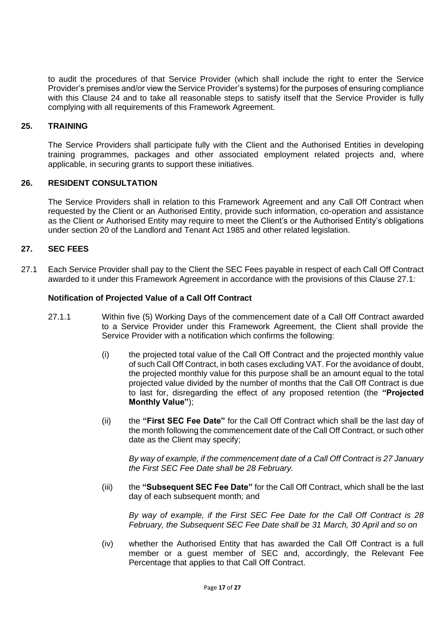to audit the procedures of that Service Provider (which shall include the right to enter the Service Provider's premises and/or view the Service Provider's systems) for the purposes of ensuring compliance with this Clause 24 and to take all reasonable steps to satisfy itself that the Service Provider is fully complying with all requirements of this Framework Agreement.

## **25. TRAINING**

The Service Providers shall participate fully with the Client and the Authorised Entities in developing training programmes, packages and other associated employment related projects and, where applicable, in securing grants to support these initiatives.

#### **26. RESIDENT CONSULTATION**

The Service Providers shall in relation to this Framework Agreement and any Call Off Contract when requested by the Client or an Authorised Entity, provide such information, co-operation and assistance as the Client or Authorised Entity may require to meet the Client's or the Authorised Entity's obligations under section 20 of the Landlord and Tenant Act 1985 and other related legislation.

### **27. SEC FEES**

27.1 Each Service Provider shall pay to the Client the SEC Fees payable in respect of each Call Off Contract awarded to it under this Framework Agreement in accordance with the provisions of this Clause 27.1:

#### **Notification of Projected Value of a Call Off Contract**

- 27.1.1 Within five (5) Working Days of the commencement date of a Call Off Contract awarded to a Service Provider under this Framework Agreement, the Client shall provide the Service Provider with a notification which confirms the following:
	- (i) the projected total value of the Call Off Contract and the projected monthly value of such Call Off Contract, in both cases excluding VAT. For the avoidance of doubt, the projected monthly value for this purpose shall be an amount equal to the total projected value divided by the number of months that the Call Off Contract is due to last for, disregarding the effect of any proposed retention (the **"Projected Monthly Value"**);
	- (ii) the **"First SEC Fee Date"** for the Call Off Contract which shall be the last day of the month following the commencement date of the Call Off Contract, or such other date as the Client may specify;

*By way of example, if the commencement date of a Call Off Contract is 27 January the First SEC Fee Date shall be 28 February.*

(iii) the **"Subsequent SEC Fee Date"** for the Call Off Contract, which shall be the last day of each subsequent month; and

*By way of example, if the First SEC Fee Date for the Call Off Contract is 28 February, the Subsequent SEC Fee Date shall be 31 March, 30 April and so on*

(iv) whether the Authorised Entity that has awarded the Call Off Contract is a full member or a guest member of SEC and, accordingly, the Relevant Fee Percentage that applies to that Call Off Contract.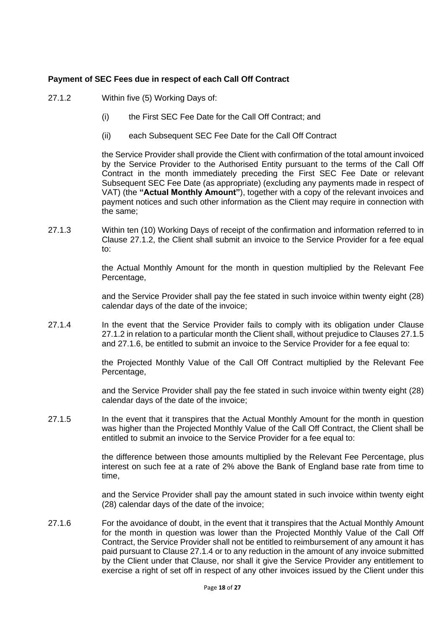## **Payment of SEC Fees due in respect of each Call Off Contract**

- 27.1.2 Within five (5) Working Days of:
	- (i) the First SEC Fee Date for the Call Off Contract; and
	- (ii) each Subsequent SEC Fee Date for the Call Off Contract

the Service Provider shall provide the Client with confirmation of the total amount invoiced by the Service Provider to the Authorised Entity pursuant to the terms of the Call Off Contract in the month immediately preceding the First SEC Fee Date or relevant Subsequent SEC Fee Date (as appropriate) (excluding any payments made in respect of VAT) (the **"Actual Monthly Amount"**), together with a copy of the relevant invoices and payment notices and such other information as the Client may require in connection with the same;

27.1.3 Within ten (10) Working Days of receipt of the confirmation and information referred to in Clause 27.1.2, the Client shall submit an invoice to the Service Provider for a fee equal to:

> the Actual Monthly Amount for the month in question multiplied by the Relevant Fee Percentage,

> and the Service Provider shall pay the fee stated in such invoice within twenty eight (28) calendar days of the date of the invoice;

27.1.4 In the event that the Service Provider fails to comply with its obligation under Clause 27.1.2 in relation to a particular month the Client shall, without prejudice to Clauses 27.1.5 and 27.1.6, be entitled to submit an invoice to the Service Provider for a fee equal to:

> the Projected Monthly Value of the Call Off Contract multiplied by the Relevant Fee Percentage,

> and the Service Provider shall pay the fee stated in such invoice within twenty eight (28) calendar days of the date of the invoice;

27.1.5 In the event that it transpires that the Actual Monthly Amount for the month in question was higher than the Projected Monthly Value of the Call Off Contract, the Client shall be entitled to submit an invoice to the Service Provider for a fee equal to:

> the difference between those amounts multiplied by the Relevant Fee Percentage, plus interest on such fee at a rate of 2% above the Bank of England base rate from time to time,

> and the Service Provider shall pay the amount stated in such invoice within twenty eight (28) calendar days of the date of the invoice;

27.1.6 For the avoidance of doubt, in the event that it transpires that the Actual Monthly Amount for the month in question was lower than the Projected Monthly Value of the Call Off Contract, the Service Provider shall not be entitled to reimbursement of any amount it has paid pursuant to Clause 27.1.4 or to any reduction in the amount of any invoice submitted by the Client under that Clause, nor shall it give the Service Provider any entitlement to exercise a right of set off in respect of any other invoices issued by the Client under this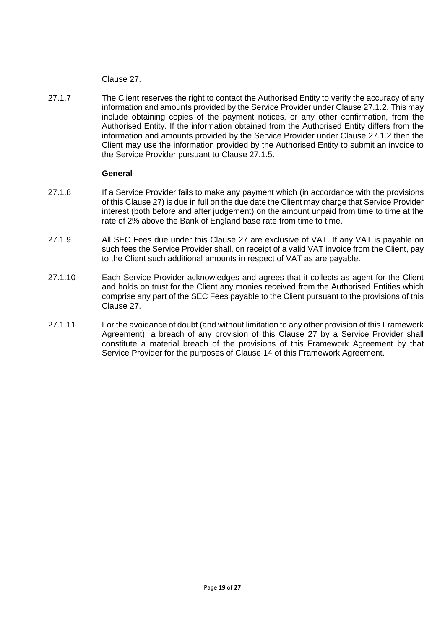Clause 27.

27.1.7 The Client reserves the right to contact the Authorised Entity to verify the accuracy of any information and amounts provided by the Service Provider under Clause 27.1.2. This may include obtaining copies of the payment notices, or any other confirmation, from the Authorised Entity. If the information obtained from the Authorised Entity differs from the information and amounts provided by the Service Provider under Clause 27.1.2 then the Client may use the information provided by the Authorised Entity to submit an invoice to the Service Provider pursuant to Clause 27.1.5.

#### **General**

- 27.1.8 If a Service Provider fails to make any payment which (in accordance with the provisions of this Clause 27) is due in full on the due date the Client may charge that Service Provider interest (both before and after judgement) on the amount unpaid from time to time at the rate of 2% above the Bank of England base rate from time to time.
- 27.1.9 All SEC Fees due under this Clause 27 are exclusive of VAT. If any VAT is payable on such fees the Service Provider shall, on receipt of a valid VAT invoice from the Client, pay to the Client such additional amounts in respect of VAT as are payable.
- 27.1.10 Each Service Provider acknowledges and agrees that it collects as agent for the Client and holds on trust for the Client any monies received from the Authorised Entities which comprise any part of the SEC Fees payable to the Client pursuant to the provisions of this Clause 27.
- 27.1.11 For the avoidance of doubt (and without limitation to any other provision of this Framework Agreement), a breach of any provision of this Clause 27 by a Service Provider shall constitute a material breach of the provisions of this Framework Agreement by that Service Provider for the purposes of Clause 14 of this Framework Agreement.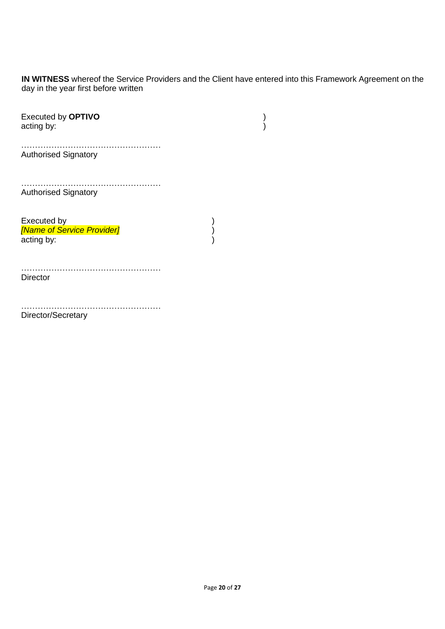**IN WITNESS** whereof the Service Providers and the Client have entered into this Framework Agreement on the day in the year first before written

| <b>Executed by OPTIVO</b><br>acting by:                 |  |
|---------------------------------------------------------|--|
| <b>Authorised Signatory</b>                             |  |
| <b>Authorised Signatory</b>                             |  |
| Executed by<br>[Name of Service Provider]<br>acting by: |  |
| <b>Director</b>                                         |  |
| Director/Secretary                                      |  |

Page **20** of **27**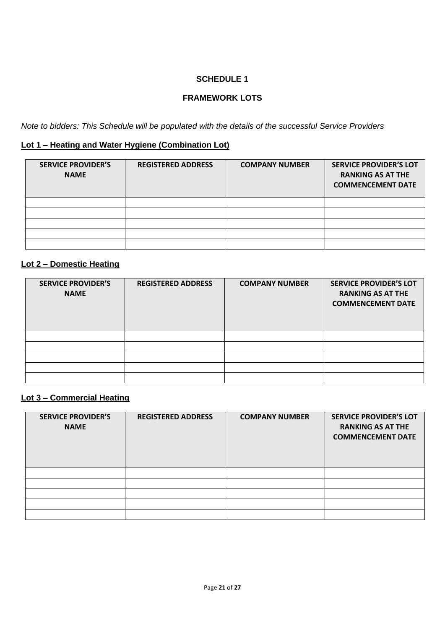# **FRAMEWORK LOTS**

*Note to bidders: This Schedule will be populated with the details of the successful Service Providers*

# **Lot 1 – Heating and Water Hygiene (Combination Lot)**

| <b>SERVICE PROVIDER'S</b><br><b>NAME</b> | <b>REGISTERED ADDRESS</b> | <b>COMPANY NUMBER</b> | <b>SERVICE PROVIDER'S LOT</b><br><b>RANKING AS AT THE</b><br><b>COMMENCEMENT DATE</b> |
|------------------------------------------|---------------------------|-----------------------|---------------------------------------------------------------------------------------|
|                                          |                           |                       |                                                                                       |
|                                          |                           |                       |                                                                                       |
|                                          |                           |                       |                                                                                       |
|                                          |                           |                       |                                                                                       |
|                                          |                           |                       |                                                                                       |

# **Lot 2 – Domestic Heating**

| <b>SERVICE PROVIDER'S</b><br><b>NAME</b> | <b>REGISTERED ADDRESS</b> | <b>COMPANY NUMBER</b> | <b>SERVICE PROVIDER'S LOT</b><br><b>RANKING AS AT THE</b><br><b>COMMENCEMENT DATE</b> |
|------------------------------------------|---------------------------|-----------------------|---------------------------------------------------------------------------------------|
|                                          |                           |                       |                                                                                       |
|                                          |                           |                       |                                                                                       |
|                                          |                           |                       |                                                                                       |
|                                          |                           |                       |                                                                                       |
|                                          |                           |                       |                                                                                       |

## **Lot 3 – Commercial Heating**

| <b>SERVICE PROVIDER'S</b><br><b>NAME</b> | <b>REGISTERED ADDRESS</b> | <b>COMPANY NUMBER</b> | <b>SERVICE PROVIDER'S LOT</b><br><b>RANKING AS AT THE</b><br><b>COMMENCEMENT DATE</b> |
|------------------------------------------|---------------------------|-----------------------|---------------------------------------------------------------------------------------|
|                                          |                           |                       |                                                                                       |
|                                          |                           |                       |                                                                                       |
|                                          |                           |                       |                                                                                       |
|                                          |                           |                       |                                                                                       |
|                                          |                           |                       |                                                                                       |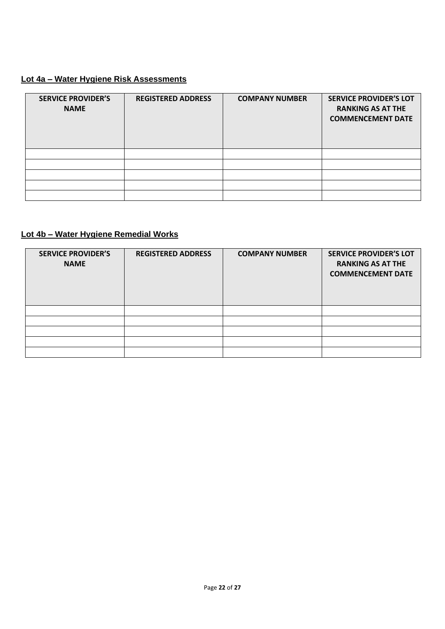# **Lot 4a – Water Hygiene Risk Assessments**

| <b>SERVICE PROVIDER'S</b><br><b>NAME</b> | <b>REGISTERED ADDRESS</b> | <b>COMPANY NUMBER</b> | <b>SERVICE PROVIDER'S LOT</b><br><b>RANKING AS AT THE</b><br><b>COMMENCEMENT DATE</b> |
|------------------------------------------|---------------------------|-----------------------|---------------------------------------------------------------------------------------|
|                                          |                           |                       |                                                                                       |
|                                          |                           |                       |                                                                                       |
|                                          |                           |                       |                                                                                       |
|                                          |                           |                       |                                                                                       |
|                                          |                           |                       |                                                                                       |

# **Lot 4b – Water Hygiene Remedial Works**

| <b>SERVICE PROVIDER'S</b><br><b>NAME</b> | <b>REGISTERED ADDRESS</b> | <b>COMPANY NUMBER</b> | <b>SERVICE PROVIDER'S LOT</b><br><b>RANKING AS AT THE</b><br><b>COMMENCEMENT DATE</b> |
|------------------------------------------|---------------------------|-----------------------|---------------------------------------------------------------------------------------|
|                                          |                           |                       |                                                                                       |
|                                          |                           |                       |                                                                                       |
|                                          |                           |                       |                                                                                       |
|                                          |                           |                       |                                                                                       |
|                                          |                           |                       |                                                                                       |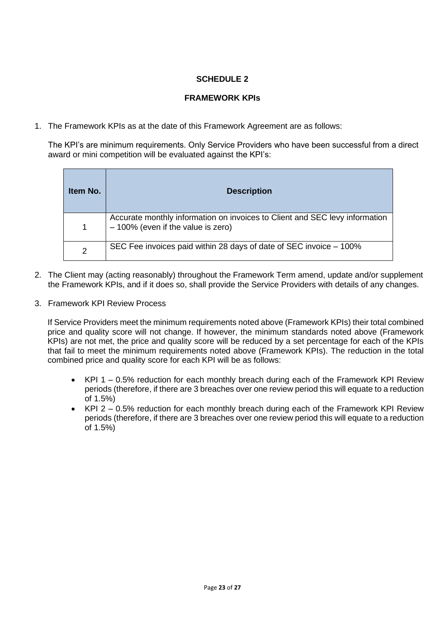## **FRAMEWORK KPIs**

1. The Framework KPIs as at the date of this Framework Agreement are as follows:

The KPI's are minimum requirements. Only Service Providers who have been successful from a direct award or mini competition will be evaluated against the KPI's:

| Item No. | <b>Description</b>                                                                                                  |
|----------|---------------------------------------------------------------------------------------------------------------------|
|          | Accurate monthly information on invoices to Client and SEC levy information<br>$-100\%$ (even if the value is zero) |
| 2        | SEC Fee invoices paid within 28 days of date of SEC invoice – 100%                                                  |

- 2. The Client may (acting reasonably) throughout the Framework Term amend, update and/or supplement the Framework KPIs, and if it does so, shall provide the Service Providers with details of any changes.
- 3. Framework KPI Review Process

If Service Providers meet the minimum requirements noted above (Framework KPIs) their total combined price and quality score will not change. If however, the minimum standards noted above (Framework KPIs) are not met, the price and quality score will be reduced by a set percentage for each of the KPIs that fail to meet the minimum requirements noted above (Framework KPIs). The reduction in the total combined price and quality score for each KPI will be as follows:

- KPI 1 0.5% reduction for each monthly breach during each of the Framework KPI Review periods (therefore, if there are 3 breaches over one review period this will equate to a reduction of 1.5%)
- $KPI$  2 0.5% reduction for each monthly breach during each of the Framework KPI Review periods (therefore, if there are 3 breaches over one review period this will equate to a reduction of 1.5%)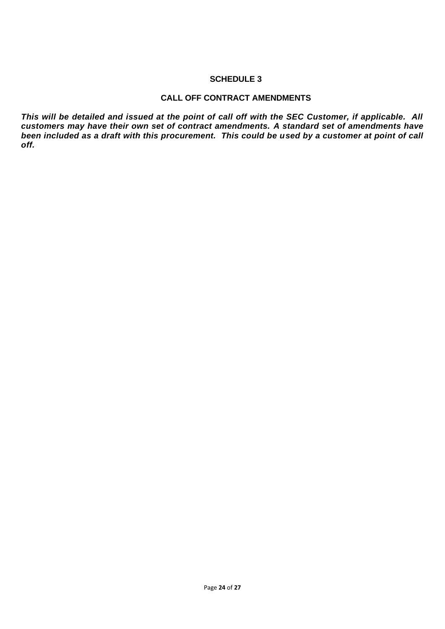## **CALL OFF CONTRACT AMENDMENTS**

*This will be detailed and issued at the point of call off with the SEC Customer, if applicable. All customers may have their own set of contract amendments. A standard set of amendments have been included as a draft with this procurement. This could be used by a customer at point of call off.*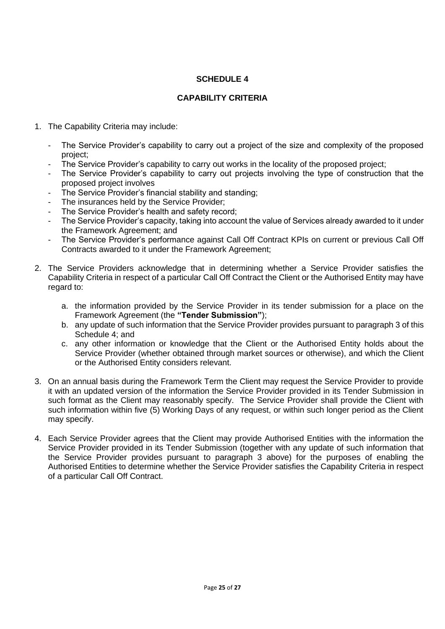## **CAPABILITY CRITERIA**

- 1. The Capability Criteria may include:
	- The Service Provider's capability to carry out a project of the size and complexity of the proposed project;
	- The Service Provider's capability to carry out works in the locality of the proposed project;
	- The Service Provider's capability to carry out projects involving the type of construction that the proposed project involves
	- The Service Provider's financial stability and standing;
	- The insurances held by the Service Provider;
	- The Service Provider's health and safety record;
	- The Service Provider's capacity, taking into account the value of Services already awarded to it under the Framework Agreement; and
	- The Service Provider's performance against Call Off Contract KPIs on current or previous Call Off Contracts awarded to it under the Framework Agreement;
- 2. The Service Providers acknowledge that in determining whether a Service Provider satisfies the Capability Criteria in respect of a particular Call Off Contract the Client or the Authorised Entity may have regard to:
	- a. the information provided by the Service Provider in its tender submission for a place on the Framework Agreement (the **"Tender Submission"**);
	- b. any update of such information that the Service Provider provides pursuant to paragraph 3 of this Schedule 4; and
	- c. any other information or knowledge that the Client or the Authorised Entity holds about the Service Provider (whether obtained through market sources or otherwise), and which the Client or the Authorised Entity considers relevant.
- 3. On an annual basis during the Framework Term the Client may request the Service Provider to provide it with an updated version of the information the Service Provider provided in its Tender Submission in such format as the Client may reasonably specify. The Service Provider shall provide the Client with such information within five (5) Working Days of any request, or within such longer period as the Client may specify.
- 4. Each Service Provider agrees that the Client may provide Authorised Entities with the information the Service Provider provided in its Tender Submission (together with any update of such information that the Service Provider provides pursuant to paragraph 3 above) for the purposes of enabling the Authorised Entities to determine whether the Service Provider satisfies the Capability Criteria in respect of a particular Call Off Contract.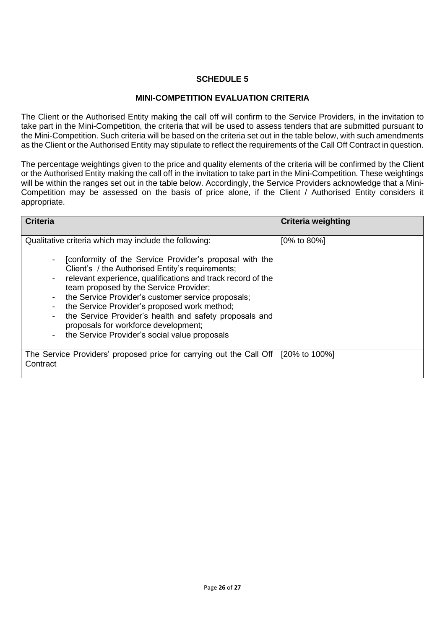### **MINI-COMPETITION EVALUATION CRITERIA**

The Client or the Authorised Entity making the call off will confirm to the Service Providers, in the invitation to take part in the Mini-Competition, the criteria that will be used to assess tenders that are submitted pursuant to the Mini-Competition. Such criteria will be based on the criteria set out in the table below, with such amendments as the Client or the Authorised Entity may stipulate to reflect the requirements of the Call Off Contract in question.

The percentage weightings given to the price and quality elements of the criteria will be confirmed by the Client or the Authorised Entity making the call off in the invitation to take part in the Mini-Competition. These weightings will be within the ranges set out in the table below. Accordingly, the Service Providers acknowledge that a Mini-Competition may be assessed on the basis of price alone, if the Client / Authorised Entity considers it appropriate.

| <b>Criteria</b>                                                                                                                                                                                                                                                                                                                                                                                                                                                                                                                        | <b>Criteria weighting</b> |
|----------------------------------------------------------------------------------------------------------------------------------------------------------------------------------------------------------------------------------------------------------------------------------------------------------------------------------------------------------------------------------------------------------------------------------------------------------------------------------------------------------------------------------------|---------------------------|
| Qualitative criteria which may include the following:<br>[conformity of the Service Provider's proposal with the<br>Client's / the Authorised Entity's requirements;<br>relevant experience, qualifications and track record of the<br>team proposed by the Service Provider;<br>the Service Provider's customer service proposals;<br>the Service Provider's proposed work method;<br>the Service Provider's health and safety proposals and<br>proposals for workforce development;<br>the Service Provider's social value proposals | $[0\% \text{ to } 80\%]$  |
| The Service Providers' proposed price for carrying out the Call Off<br>Contract                                                                                                                                                                                                                                                                                                                                                                                                                                                        | [20% to 100%]             |